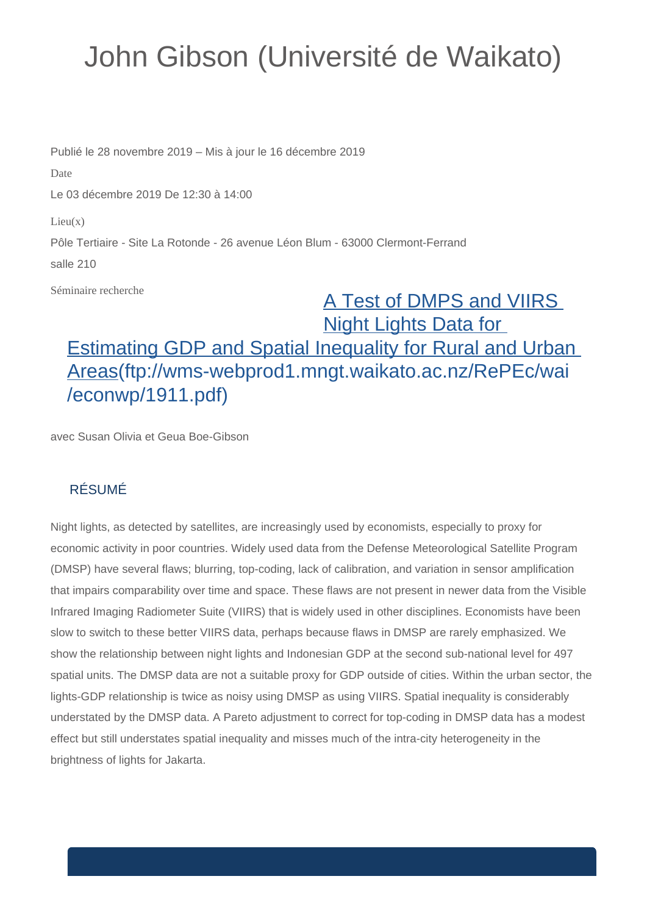## John Gibson (Université de Waikato)

Publié le 28 novembre 2019 – Mis à jour le 16 décembre 2019 Date Le 03 décembre 2019 De 12:30 à 14:00  $Lieu(x)$ Pôle Tertiaire - Site La Rotonde - 26 avenue Léon Blum - 63000 Clermont-Ferrand salle 210

Séminaire recherche

## [A Test of DMPS and VIIRS](ftp://wms-webprod1.mngt.waikato.ac.nz/RePEc/wai/econwp/1911.pdf)  [Night Lights Data for](ftp://wms-webprod1.mngt.waikato.ac.nz/RePEc/wai/econwp/1911.pdf)  [Estimating GDP and Spatial Inequality for Rural and Urban](ftp://wms-webprod1.mngt.waikato.ac.nz/RePEc/wai/econwp/1911.pdf)  [Areas\(ftp://wms-webprod1.mngt.waikato.ac.nz/RePEc/wai](ftp://wms-webprod1.mngt.waikato.ac.nz/RePEc/wai/econwp/1911.pdf) [/econwp/1911.pdf\)](ftp://wms-webprod1.mngt.waikato.ac.nz/RePEc/wai/econwp/1911.pdf)

avec Susan Olivia et Geua Boe-Gibson

## RÉSUMÉ

Night lights, as detected by satellites, are increasingly used by economists, especially to proxy for economic activity in poor countries. Widely used data from the Defense Meteorological Satellite Program (DMSP) have several flaws; blurring, top-coding, lack of calibration, and variation in sensor amplification that impairs comparability over time and space. These flaws are not present in newer data from the Visible Infrared Imaging Radiometer Suite (VIIRS) that is widely used in other disciplines. Economists have been slow to switch to these better VIIRS data, perhaps because flaws in DMSP are rarely emphasized. We show the relationship between night lights and Indonesian GDP at the second sub-national level for 497 spatial units. The DMSP data are not a suitable proxy for GDP outside of cities. Within the urban sector, the lights-GDP relationship is twice as noisy using DMSP as using VIIRS. Spatial inequality is considerably understated by the DMSP data. A Pareto adjustment to correct for top-coding in DMSP data has a modest effect but still understates spatial inequality and misses much of the intra-city heterogeneity in the brightness of lights for Jakarta.